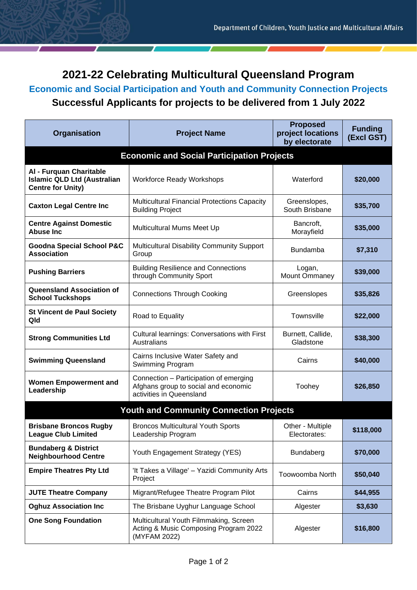## **2021-22 Celebrating Multicultural Queensland Program**

**Economic and Social Participation and Youth and Community Connection Projects**

## **Successful Applicants for projects to be delivered from 1 July 2022**

| Organisation                                                                              | <b>Project Name</b>                                                                                        | <b>Proposed</b><br>project locations<br>by electorate | <b>Funding</b><br>(Excl GST) |  |
|-------------------------------------------------------------------------------------------|------------------------------------------------------------------------------------------------------------|-------------------------------------------------------|------------------------------|--|
| <b>Economic and Social Participation Projects</b>                                         |                                                                                                            |                                                       |                              |  |
| Al - Furquan Charitable<br><b>Islamic QLD Ltd (Australian</b><br><b>Centre for Unity)</b> | <b>Workforce Ready Workshops</b>                                                                           | Waterford                                             | \$20,000                     |  |
| <b>Caxton Legal Centre Inc</b>                                                            | Multicultural Financial Protections Capacity<br><b>Building Project</b>                                    | Greenslopes,<br>South Brisbane                        | \$35,700                     |  |
| <b>Centre Against Domestic</b><br><b>Abuse Inc</b>                                        | Multicultural Mums Meet Up                                                                                 | Bancroft,<br>Morayfield                               | \$35,000                     |  |
| <b>Goodna Special School P&amp;C</b><br><b>Association</b>                                | Multicultural Disability Community Support<br>Group                                                        | <b>Bundamba</b>                                       | \$7,310                      |  |
| <b>Pushing Barriers</b>                                                                   | <b>Building Resilience and Connections</b><br>through Community Sport                                      | Logan,<br>Mount Ommaney                               | \$39,000                     |  |
| <b>Queensland Association of</b><br><b>School Tuckshops</b>                               | <b>Connections Through Cooking</b>                                                                         | Greenslopes                                           | \$35,826                     |  |
| <b>St Vincent de Paul Society</b><br>Qld                                                  | Road to Equality                                                                                           | Townsville                                            | \$22,000                     |  |
| <b>Strong Communities Ltd</b>                                                             | <b>Cultural learnings: Conversations with First</b><br>Australians                                         | Burnett, Callide,<br>Gladstone                        | \$38,300                     |  |
| <b>Swimming Queensland</b>                                                                | Cairns Inclusive Water Safety and<br>Swimming Program                                                      | Cairns                                                | \$40,000                     |  |
| <b>Women Empowerment and</b><br>Leadership                                                | Connection - Participation of emerging<br>Afghans group to social and economic<br>activities in Queensland | Toohey                                                | \$26,850                     |  |
| <b>Youth and Community Connection Projects</b>                                            |                                                                                                            |                                                       |                              |  |
| <b>Brisbane Broncos Rugby</b><br><b>League Club Limited</b>                               | <b>Broncos Multicultural Youth Sports</b><br>Leadership Program                                            | Other - Multiple<br>Electorates:                      | \$118,000                    |  |
| <b>Bundaberg &amp; District</b><br><b>Neighbourhood Centre</b>                            | Youth Engagement Strategy (YES)                                                                            | Bundaberg                                             | \$70,000                     |  |
| <b>Empire Theatres Pty Ltd</b>                                                            | 'It Takes a Village' - Yazidi Community Arts<br>Project                                                    | Toowoomba North                                       | \$50,040                     |  |
| <b>JUTE Theatre Company</b>                                                               | Migrant/Refugee Theatre Program Pilot                                                                      | Cairns                                                | \$44,955                     |  |
| <b>Oghuz Association Inc</b>                                                              | The Brisbane Uyghur Language School                                                                        | Algester                                              | \$3,630                      |  |
| <b>One Song Foundation</b>                                                                | Multicultural Youth Filmmaking, Screen<br>Acting & Music Composing Program 2022<br>(MYFAM 2022)            | Algester                                              | \$16,800                     |  |